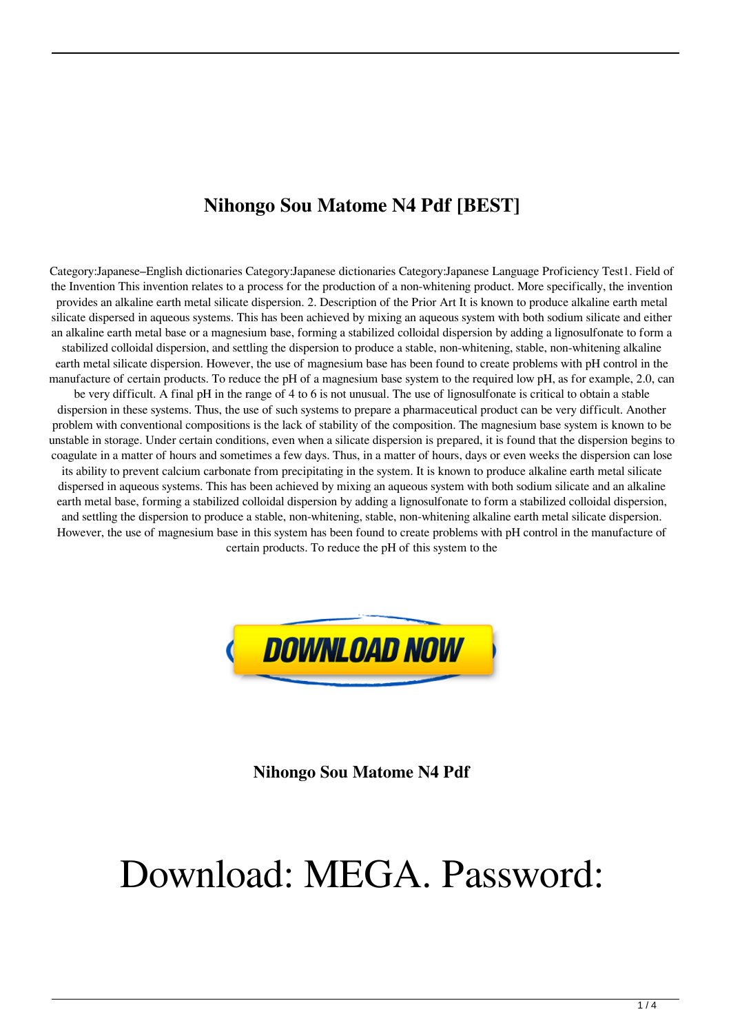## **Nihongo Sou Matome N4 Pdf [BEST]**

Category:Japanese–English dictionaries Category:Japanese dictionaries Category:Japanese Language Proficiency Test1. Field of the Invention This invention relates to a process for the production of a non-whitening product. More specifically, the invention provides an alkaline earth metal silicate dispersion. 2. Description of the Prior Art It is known to produce alkaline earth metal silicate dispersed in aqueous systems. This has been achieved by mixing an aqueous system with both sodium silicate and either an alkaline earth metal base or a magnesium base, forming a stabilized colloidal dispersion by adding a lignosulfonate to form a stabilized colloidal dispersion, and settling the dispersion to produce a stable, non-whitening, stable, non-whitening alkaline earth metal silicate dispersion. However, the use of magnesium base has been found to create problems with pH control in the manufacture of certain products. To reduce the pH of a magnesium base system to the required low pH, as for example, 2.0, can be very difficult. A final pH in the range of 4 to 6 is not unusual. The use of lignosulfonate is critical to obtain a stable dispersion in these systems. Thus, the use of such systems to prepare a pharmaceutical product can be very difficult. Another problem with conventional compositions is the lack of stability of the composition. The magnesium base system is known to be unstable in storage. Under certain conditions, even when a silicate dispersion is prepared, it is found that the dispersion begins to coagulate in a matter of hours and sometimes a few days. Thus, in a matter of hours, days or even weeks the dispersion can lose its ability to prevent calcium carbonate from precipitating in the system. It is known to produce alkaline earth metal silicate dispersed in aqueous systems. This has been achieved by mixing an aqueous system with both sodium silicate and an alkaline earth metal base, forming a stabilized colloidal dispersion by adding a lignosulfonate to form a stabilized colloidal dispersion, and settling the dispersion to produce a stable, non-whitening, stable, non-whitening alkaline earth metal silicate dispersion. However, the use of magnesium base in this system has been found to create problems with pH control in the manufacture of certain products. To reduce the pH of this system to the



**Nihongo Sou Matome N4 Pdf**

## Download: MEGA. Password: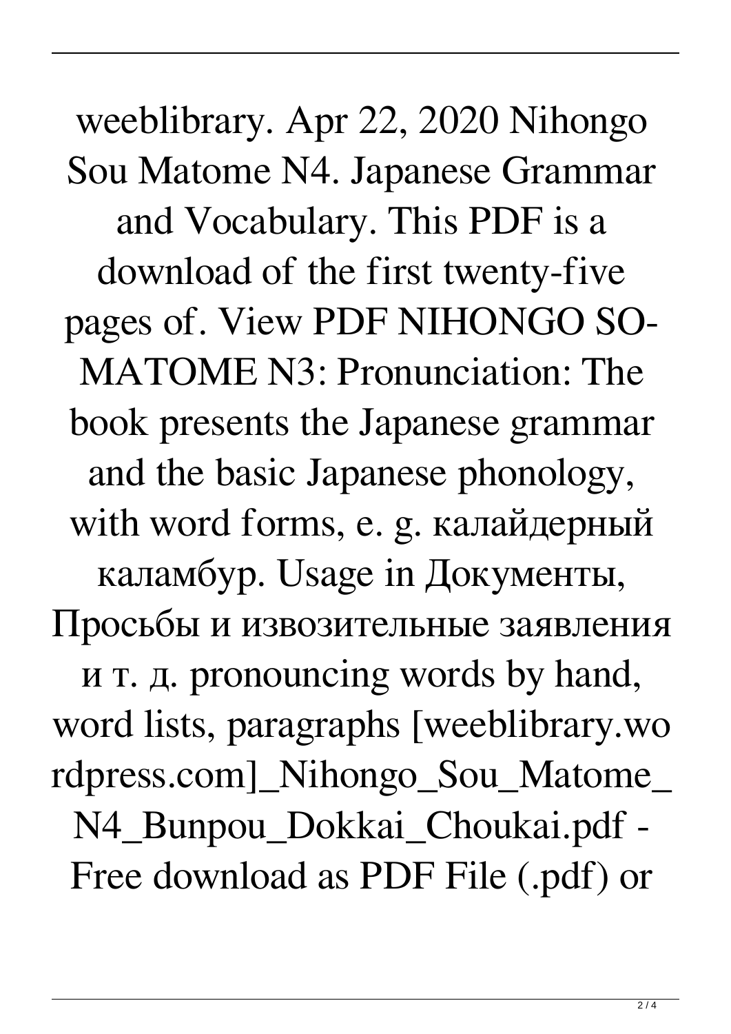weeblibrary. Apr 22, 2020 Nihongo Sou Matome N4. Japanese Grammar and Vocabulary. This PDF is a download of the first twenty-five pages of. View PDF NIHONGO SO-MATOME N3: Pronunciation: The book presents the Japanese grammar and the basic Japanese phonology, with word forms, e. g. калайдерный каламбур. Usage in Документы, Просьбы и извозительные заявления и т. д. pronouncing words by hand, word lists, paragraphs [weeblibrary.wo rdpress.com]\_Nihongo\_Sou\_Matome\_ N4\_Bunpou\_Dokkai\_Choukai.pdf - Free download as PDF File (.pdf) or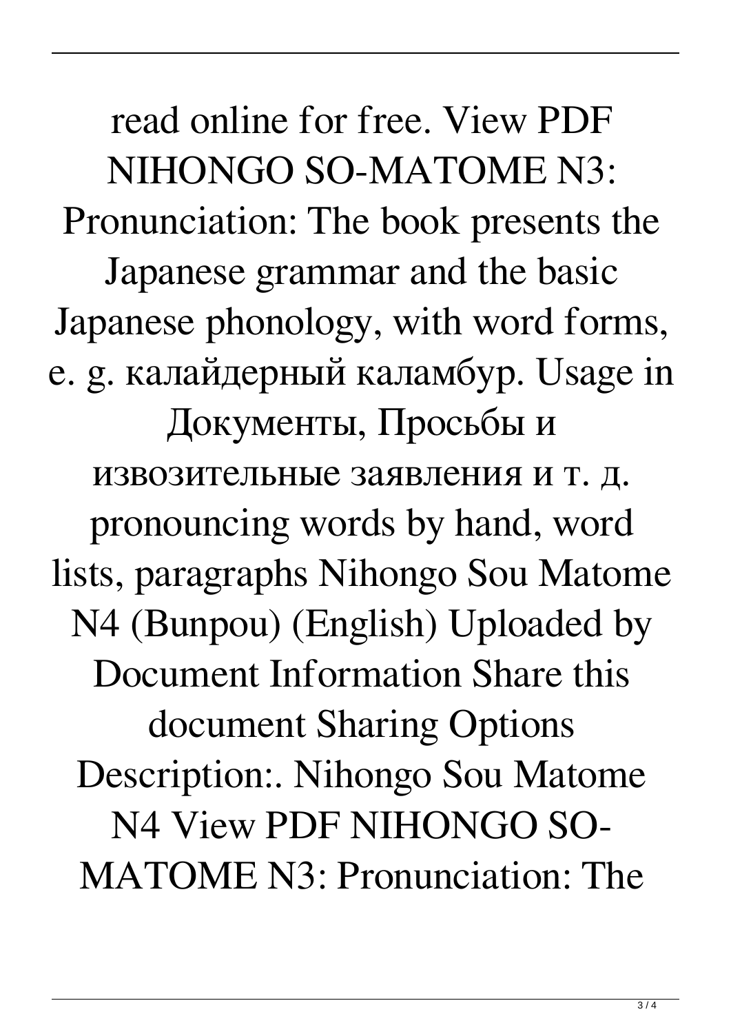read online for free. View PDF NIHONGO SO-MATOME N3: Pronunciation: The book presents the Japanese grammar and the basic Japanese phonology, with word forms, e. g. калайдерный каламбур. Usage in Документы, Просьбы и извозительные заявления и т. д. pronouncing words by hand, word lists, paragraphs Nihongo Sou Matome N4 (Bunpou) (English) Uploaded by Document Information Share this document Sharing Options Description:. Nihongo Sou Matome N4 View PDF NIHONGO SO-MATOME N3: Pronunciation: The